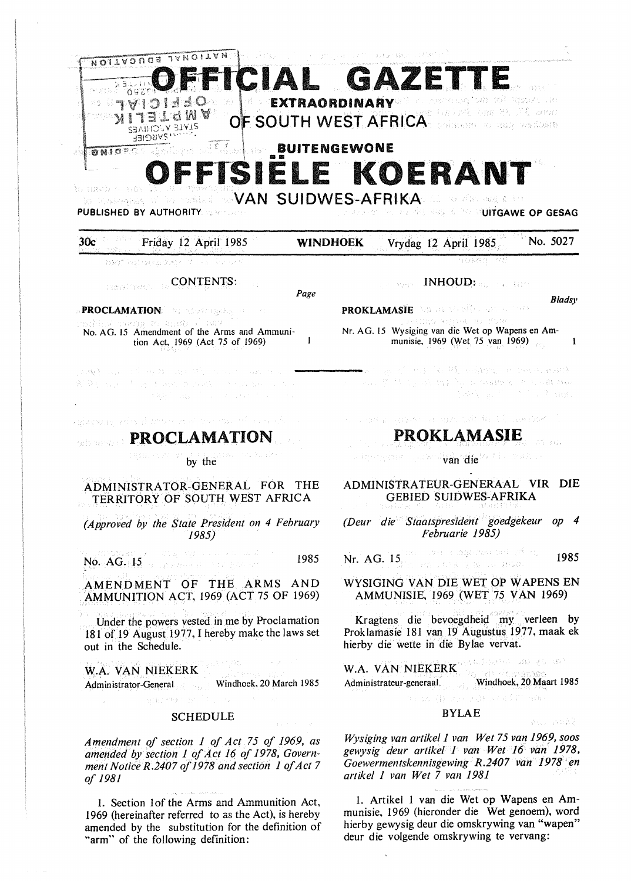# **BUITENGEWONE** SIELE KOERAN a mah o na

DO MARIA VAN SUIDWES-AFRIKA OP DE ARTISTER to fosterent af **PUBLISHED BY AUTHORITY** WEEP **POPING RISK & THE PUITGAWE OP GESAG** 

**WINDHOEK** 

#### Friday 12 April 1985  $30<sub>c</sub>$

**NORTH PASSAGE CORP.** The Secret Conservation of the Conservation of the Conservation of the Conservation of the Conservation of the Conservation of the Conservation of the Conservation of the Conservation of the Conservat

# **CONTENTS:**

Page

 $\mathbf{I}$ 

**PROCLAMATION Construction** No. AG. 15 Amendment of the Arms and Ammunition Act, 1969 (Act 75 of 1969)

2000) and the my the most the common water of  $\mathcal{R}^{\mathcal{L}}(\mathcal{D}_{\mathcal{M}}) = \mathcal{N}_{\mathcal{M}}(\mathcal{L}^{\mathcal{L}}(\mathcal{M})) = \mathcal{N}_{\mathcal{M}}(\mathcal{M}) = \mathcal{N}_{\mathcal{M}}(\mathcal{M}) = \mathcal{N}_{\mathcal{M}}(\mathcal{M}) = \mathcal{N}_{\mathcal{M}}(\mathcal{M})$ **不能是 Data ( ) ( ) ( ) ( ) ( )** 

ਦਸੰਬਵਾਸਤਾ ਨਹਿੰਦਾ ਹੈ ਨਾਲ ਰਾਤ ਨੂੰ ਵਿਚ ਹ

# **PROCLAMATION**

by the

# ADMINISTRATOR-GENERAL FOR THE TERRITORY OF SOUTH WEST AFRICA

(Approved by the State President on 4 February  $1985$ 

ಿ ಸಿಕ್ಕಿ ಅಳ್ವ ಅಂತ ಅರ್ಜಿಸಿದ 1985 No.  $AG_{\gamma}$  [15 is a present of the gradient

AMENDMENT OF THE ARMS AND AMMUNITION ACT, 1969 (ACT 75 OF 1969)

Under the powers vested in me by Proclamation 181 of 19 August 1977, I hereby make the laws set out in the Schedule.

## W.A. VAN NIEKERK

Administrator-General Windhoek, 20 March 1985

#### **SCHEDULE**

**MAP TO NEW PROPERTY** 

Amendment of section 1 of Act 75 of 1969, as amended by section 1 of Act 16 of 1978, Government Notice R.2407 of 1978 and section 1 of Act 7 of 1981

1. Section 1of the Arms and Ammunition Act, 1969 (hereinafter referred to as the Act), is hereby amended by the substitution for the definition of "arm" of the following definition:

*Designed INHOUD: all the City* 

**Bladsv** 

 $\mathbf{1}$ 

No. 5027

់កាំ អន្តរ

And Book?

**PROKLAMASTE** THIS BIG MADE IN THE CONDUCTION OF Nr. AG. 15 Wysiging van die Wet op Wapens en Ammunisie, 1969 (Wet 75 van 1969)

Vrydag 12 April 1985

Frem more in the Monte of the Constitution Sound the State of the State of Hills of the State

 $\label{eq:1.1} \frac{1}{2}\left[\mathcal{A}^{\mu\nu}\right]_{\mu}=\mu_{\mu} \left[\mathcal{A}^{\mu\nu}+\mathcal{A}^{\nu\nu}\right]_{\mu} \left[\mathcal{A}^{\nu}+\mathcal{A}^{\mu\nu}\right]_{\mu},$ 

o da alla seria del serio dal ferro del come

# PROKLAMASIE

van die Walte Statten Rengan yaw

# ADMINISTRATEUR-GENERAAL VIR DIE **GEBIED SUIDWES-AFRIKA**

(Deur die Staatspresident goedgekeur op 4 Februarie 1985)

tin – that a tegoven en gibar, Nr. AG. 15, and the company of the model 1985

### WYSIGING VAN DIE WET OP WAPENS EN AMMUNISIE, 1969 (WET 75 VAN 1969)

Kragtens die bevoegdheid my verleen by Proklamasie 181 van 19 Augustus 1977, maak ek hierby die wette in die Bylae vervat.

W.A. VAN NIEKERK COMMENT ON ENGINEER Administrateur-generaal. Windhoek, 20 Maart 1985

### **BYLAE**

the proof) stars and possibly the series

Wysiging van artikel 1 van Wet 75 van 1969, soos gewysig deur artikel I van Wet 16 van 1978, Goewermentskennisgewing R.2407 van 1978 en artikel 1 van Wet 7 van 1981

1. Artikel 1 van die Wet op Wapens en Ammunisie, 1969 (hieronder die Wet genoem), word hierby gewysig deur die omskrywing van "wapen" deur die volgende omskrywing te vervang: